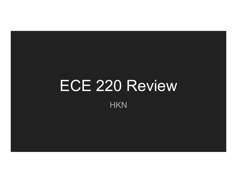## ECE 220 Review

**HKN**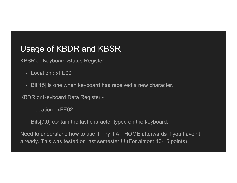# Usage of KBDR and KBSR Sage of KBDR and KBSR<br>SSR or Keyboard Status Register :-<br>- Location : xFE00<br>- Bit[15] is one when keyboard has receive Sage of KBDR and KBSR<br>
SSR or Keyboard Status Register :-<br>
- Location : xFE00<br>
- Bit[15] is one when keyboard has received<br>
SDR or Keyboard Data Register:-<br>
- Location : xFE02<br>
- Bits[7:0] contain the last character typed

KBSR or Keyboard Status Register :-

- 
- Sage of KBDR and KBSR<br>BSR or Keyboard Status Register :-<br>- Location : xFE00<br>- Bit[15] is one when keyboard has received a new character.<br>BDR or Keyboard Data Register:-

KBDR or Keyboard Data Register:-

- 
- 

Sage of KBDR and KBSR<br>
SSR or Keyboard Status Register :-<br>
- Location : xFE00<br>
- Bit[15] is one when keyboard has received a new character.<br>
BDR or Keyboard Data Register:-<br>
- Location : xFE02<br>
- Bits[7:0] contain the last Need to understand how to use it. Try it AT HOME afterwards if you haven't already. This was tested on last semester!!!! (For almost 10-15 points)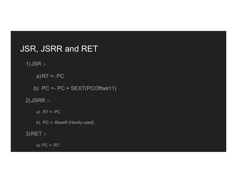## JSR, JSRR and RET , JSRR and RET<br><sup>SR :-</sup><br>a)R7 <- PC<br>) PC <- PC + SEXT(PCOffset11) **e)**<br> **b)** PC <- PC<br>
b) PC <- PC + SEXT(PCOffset11)<br>
SRR :-**, JSRR and RET**<br>
ER :-<br>
a)R7 <- PC<br>
() PC <- PC + SEXT(PCOffset11)<br>
RR :-<br>
a) R7 <- PC<br>
b) PC <- BaseR {Hardly used} **, JSRR and RET**<br>
BR :-<br>
a)R7 <- PC<br>
) PC <- PC + SEXT(PCOffset11)<br>
BRR :-<br>
a) R7 <- PC<br>
b) PC <- BaseR {Hardly used}<br>
ET :-

1)JSR :-

a) R7 <- PC<br>) PC <- PC + SEXT(PCOffset11)<br>}RR :-<br>a) R7 <- PC<br>b) PC <- BaseR {Hardly used}<br>ET :-<br>a) PC <- R7;

2)JSRR :-

3)RET :-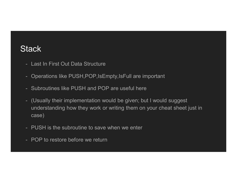## **Stack**

- 
- **tack**<br>- Last In First Out Data Structure<br>- Operations like PUSH,POP,IsEmpty,IsFull are import tack<br>- Last In First Out Data Structure<br>- Operations like PUSH,POP,IsEmpty,IsFull are important<br>- Subroutines like PUSH and POP are useful here
- 
- Subroutines like PUSH and POP are useful here 1<br>- Last In First Out Data Structure<br>- Operations like PUSH,POP,IsEmpty,IsFull are important<br>- Subroutines like PUSH and POP are useful here<br>- (Usually their implementation would be given; but I would suggest<br>understanding understanding how they work or writing them on your cheat sheet just in case) Last In First Out Data Structure<br>
- Last In First Out Data Structure<br>
- Operations like PUSH,POP,IsEmpty,IsFull are important<br>
- Subroutines like PUSH and POP are useful here<br>
- (Usually their implementation would be given - Last In First Out Data Structure<br>- Operations like PUSH,POP,IsEmpty,IsFu<br>- Subroutines like PUSH and POP are use<br>- (Usually their implementation would be gi<br>understanding how they work or writing th<br>case)<br>- PUSH is the s
- 
-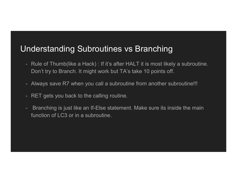## Understanding Subroutines vs Branching

- **nderstanding Subroutines vs Branching**<br>- Rule of Thumb(like a Hack) : If it's after HALT it is most likely a subroutine.<br>- Don't try to Branch. It might work but TA's take 10 points off.<br>- Always save B7 when you call a s Don't try to Branch. It might work but TA's take 10 points off. Inderstanding Subroutines vs Branching<br>- Rule of Thumb(like a Hack) : If it's after HALT it is most likely a subroutine.<br>Don't try to Branch. It might work but TA's take 10 points off.<br>- Always save R7 when you call a subr **Inderstanding Subroutines vs Bran**<br>- Rule of Thumb(like a Hack) : If it's after HALT it is m<br>Don't try to Branch. It might work but TA's take 10 p<br>- Always save R7 when you call a subroutine from ar<br>- RET gets you back to Inderstanding Subroutines vs Branching<br>
- Rule of Thumb(like a Hack) : If it's after HALT it is most likely a subroutine.<br>
Don't try to Branch. It might work but TA's take 10 points off.<br>
- Always save R7 when you call a s
- 
- 
- function of LC3 or in a subroutine.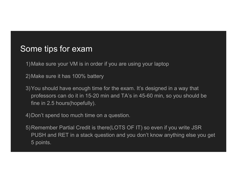### Some tips for exam

1)Make sure your VM is in order if you are using your laptop

2)Make sure it has 100% battery

3)You should have enough time for the exam. It's designed in a way that professors can do it in 15-20 min and TA's in 45-60 min, so you should be fine in 2.5 hours(hopefully).

4)Don't spend too much time on a question.

5)Remember Partial Credit is there(LOTS OF IT) so even if you write JSR PUSH and RET in a stack question and you don't know anything else you get 5 points.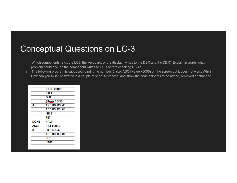## Conceptual Questions on LC-3

- 1) Which components (e.g., the LC3, the keyboard, or the display) writes to the DSR and the DDR? Explain in words what problem could occur if the component writes to DDR before checking DSR?
- 2) The following program is supposed to print the number '5' (i.e. ASCII value x0035) on the screen but it does not work. Why? How can you fix it? Answer with a couple of short sentences, and show the code snippets to be added, removed or changed.

|              | <b>.OIRG x3000</b>    |  |
|--------------|-----------------------|--|
|              | <b>JSRA</b>           |  |
|              | OUT                   |  |
|              | <b>BRnzp DONE</b>     |  |
| A            | <b>AND RO, RO, #0</b> |  |
|              | <b>ADD RO, RO, #5</b> |  |
|              | <b>JSR B</b>          |  |
|              | RET                   |  |
| <b>DONE</b>  | <b>HALT</b>           |  |
| <b>ASCII</b> | <b>.FILL x0030</b>    |  |
| в            | LD R1, ASCII          |  |
|              | <b>ADD RO, RO, R1</b> |  |
|              | <b>RET</b>            |  |
|              | .END                  |  |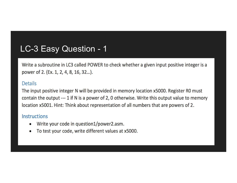LC-3 Easy Question - 1<br>Write a subroutine in LC3 called POWER to check whether a given input positive integer

### **Details**

The input positive integer N will be provided in memory location x5000. Register R0 must contain the output --- 1 if N is a power of 2, 0 otherwise. Write this output value to memory location x5001. Hint: Think about representation of all numbers that are powers of 2.

### **Instructions**

- Write your code in question1/power2.asm.  $\bullet$
- To test your code, write different values at x5000.  $\bullet$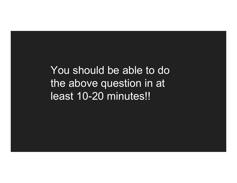You should be able to do the above question in at least 10-20 minutes!!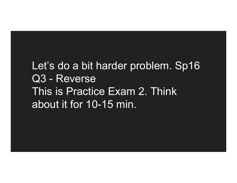## Let's do a bit harder problem. Sp16 Let's do a bit harder probl<br>Q3 - Reverse<br>This is Practice Exam 2. 1 This is Practice Exam 2. Think about it for 10-15 min.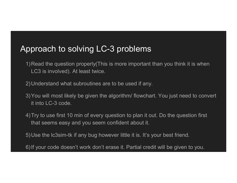## Approach to solving LC-3 problems

- 1)Read the question properly(This is more important than you think it is when LC3 is involved). At least twice.
- 2)Understand what subroutines are to be used if any.
- 3)You will most likely be given the algorithm/ flowchart. You just need to convert it into LC-3 code.
- 4)Try to use first 10 min of every question to plan it out. Do the question first that seems easy and you seem confident about it.
- 5)Use the lc3sim-tk if any bug however little it is. It's your best friend.
- 6)If your code doesn't work don't erase it. Partial credit will be given to you.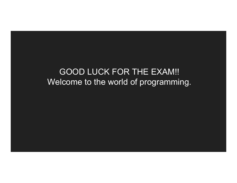## GOOD LUCK FOR THE EXAM!! Welcome to the world of programming.